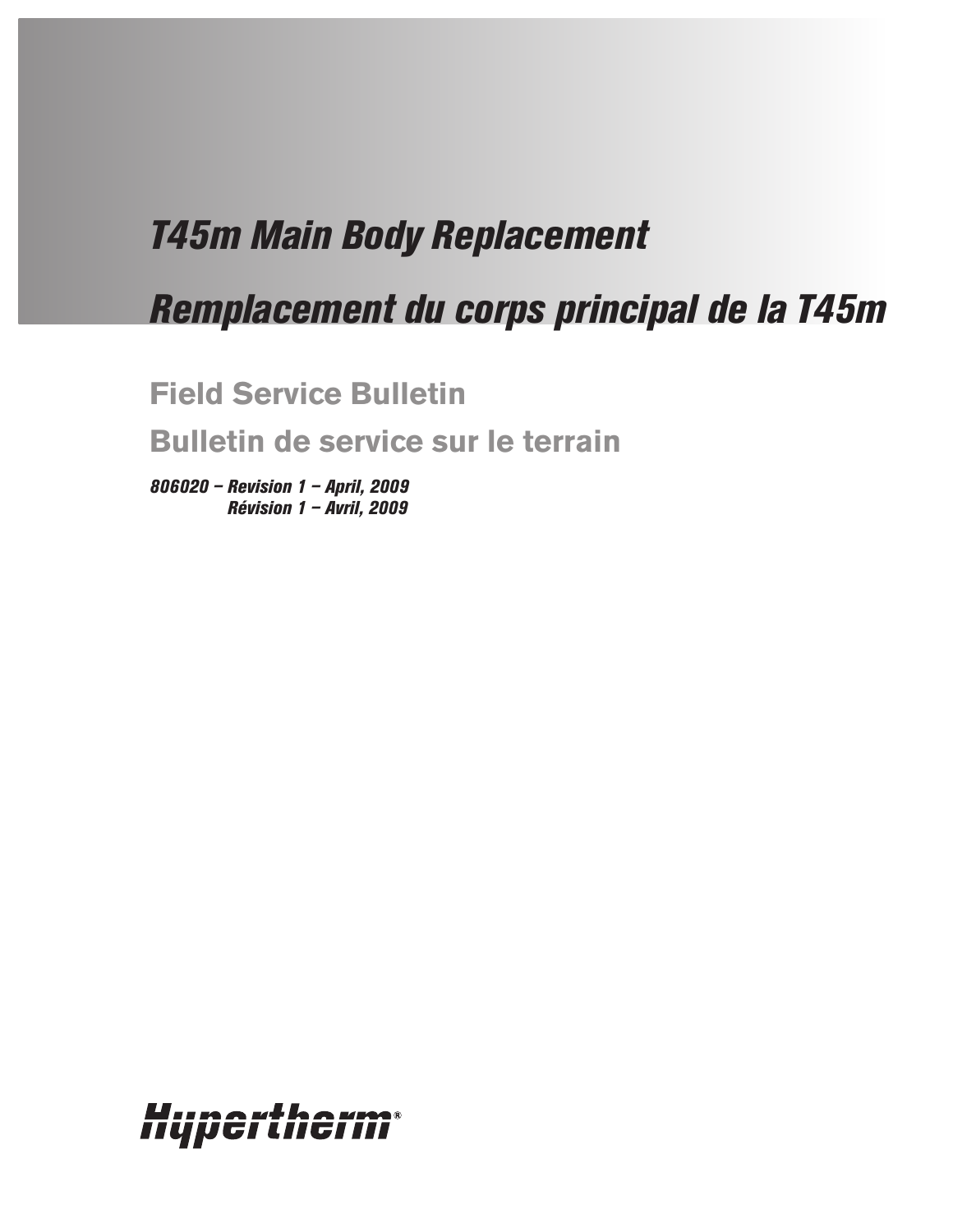# *T45m Main Body Replacement*

# *Remplacement du corps principal de la T45m*

**Field Service Bulletin**

**Bulletin de service sur le terrain**

*806020 – Revision 1 – April, 2009 Révision 1 – Avril, 2009*

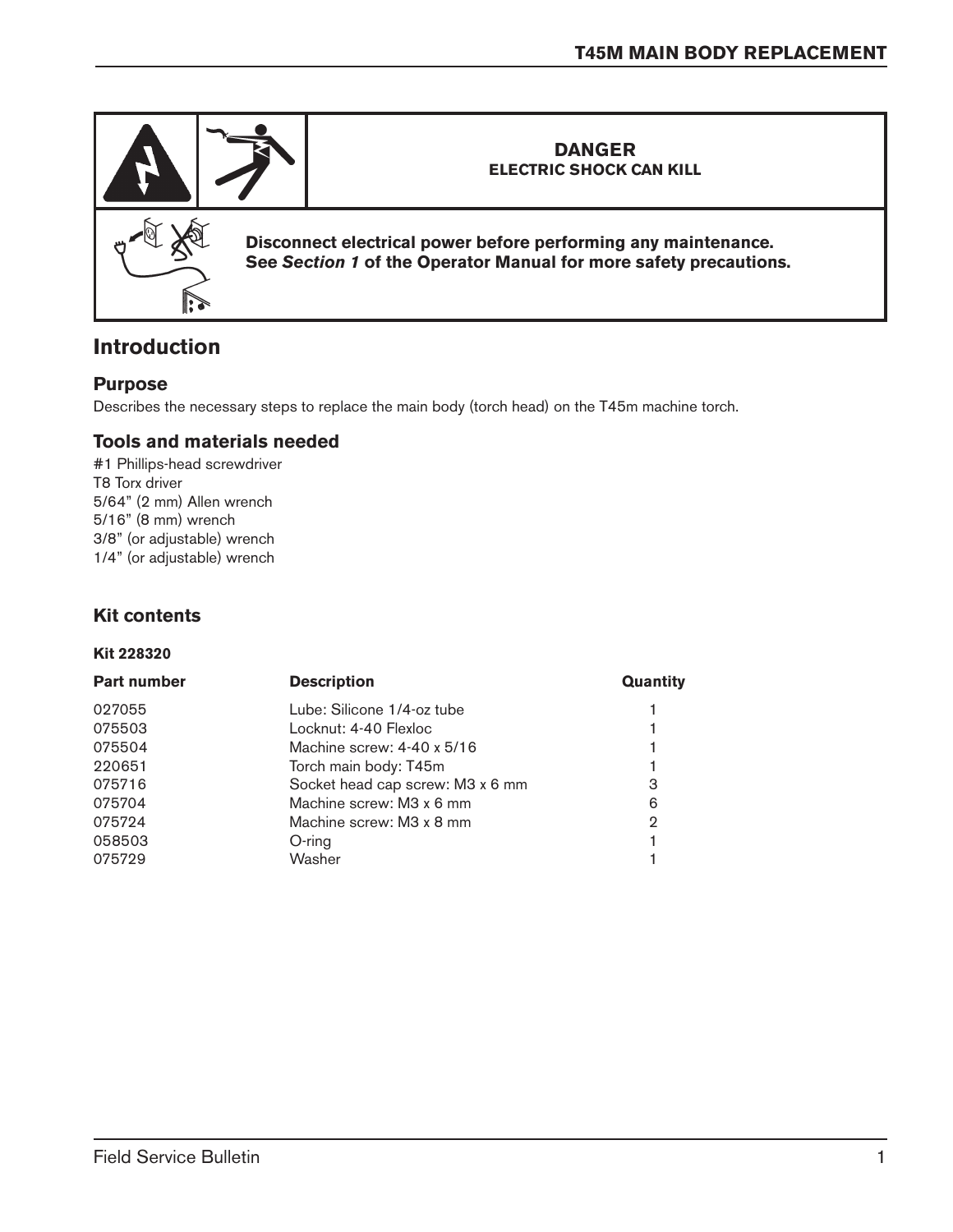

## **Introduction**

#### **Purpose**

Describes the necessary steps to replace the main body (torch head) on the T45m machine torch.

#### **Tools and materials needed**

#1 Phillips-head screwdriver T8 Torx driver 5/64" (2 mm) Allen wrench 5/16" (8 mm) wrench 3/8" (or adjustable) wrench 1/4" (or adjustable) wrench

#### **Kit contents**

#### **Kit 228320**

| <b>Part number</b> | <b>Description</b>               | Quantity |
|--------------------|----------------------------------|----------|
| 027055             | Lube: Silicone 1/4-oz tube       |          |
| 075503             | Locknut: 4-40 Flexloc            |          |
| 075504             | Machine screw: 4-40 x 5/16       |          |
| 220651             | Torch main body: T45m            |          |
| 075716             | Socket head cap screw: M3 x 6 mm | З        |
| 075704             | Machine screw: M3 x 6 mm         | 6        |
| 075724             | Machine screw: M3 x 8 mm         | 2        |
| 058503             | O-ring                           |          |
| 075729             | Washer                           |          |
|                    |                                  |          |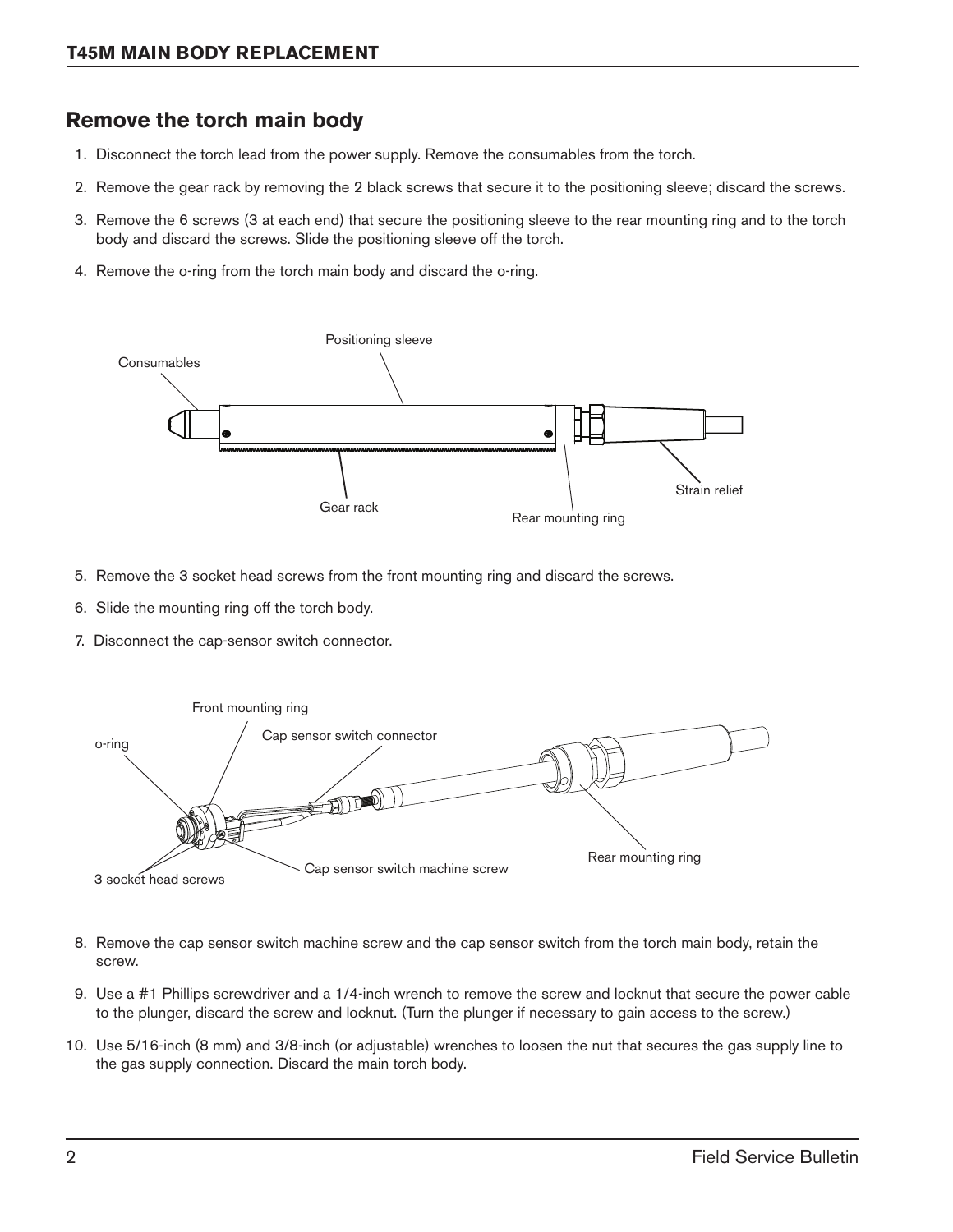### **Remove the torch main body**

- 1. Disconnect the torch lead from the power supply. Remove the consumables from the torch.
- 2. Remove the gear rack by removing the 2 black screws that secure it to the positioning sleeve; discard the screws.
- 3. Remove the 6 screws (3 at each end) that secure the positioning sleeve to the rear mounting ring and to the torch body and discard the screws. Slide the positioning sleeve off the torch.
- 4. Remove the o-ring from the torch main body and discard the o-ring.



- 5. Remove the 3 socket head screws from the front mounting ring and discard the screws.
- 6. Slide the mounting ring off the torch body.
- 7. Disconnect the cap-sensor switch connector.



- 8. Remove the cap sensor switch machine screw and the cap sensor switch from the torch main body, retain the screw.
- 9. Use a #1 Phillips screwdriver and a 1/4-inch wrench to remove the screw and locknut that secure the power cable to the plunger, discard the screw and locknut. (Turn the plunger if necessary to gain access to the screw.)
- 10. Use 5/16-inch (8 mm) and 3/8-inch (or adjustable) wrenches to loosen the nut that secures the gas supply line to the gas supply connection. Discard the main torch body.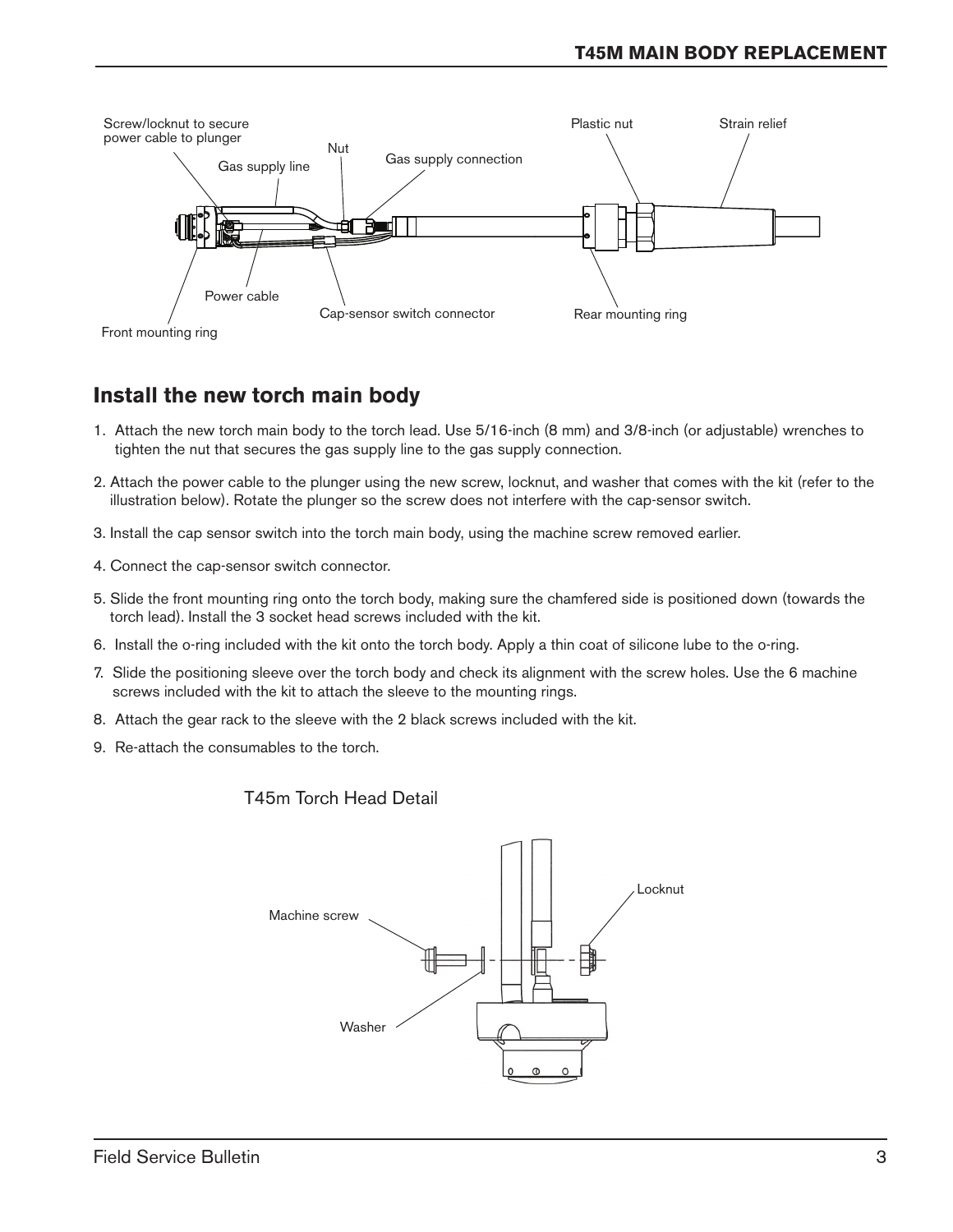

### **Install the new torch main body**

- 1. Attach the new torch main body to the torch lead. Use 5/16-inch (8 mm) and 3/8-inch (or adjustable) wrenches to tighten the nut that secures the gas supply line to the gas supply connection.
- 2. Attach the power cable to the plunger using the new screw, locknut, and washer that comes with the kit (refer to the illustration below). Rotate the plunger so the screw does not interfere with the cap-sensor switch.
- 3. Install the cap sensor switch into the torch main body, using the machine screw removed earlier.
- 4. Connect the cap-sensor switch connector.
- 5. Slide the front mounting ring onto the torch body, making sure the chamfered side is positioned down (towards the torch lead). Install the 3 socket head screws included with the kit.
- 6. Install the o-ring included with the kit onto the torch body. Apply a thin coat of silicone lube to the o-ring.
- 7. Slide the positioning sleeve over the torch body and check its alignment with the screw holes. Use the 6 machine screws included with the kit to attach the sleeve to the mounting rings.
- 8. Attach the gear rack to the sleeve with the 2 black screws included with the kit.
- 9. Re-attach the consumables to the torch.

#### T45m Torch Head Detail

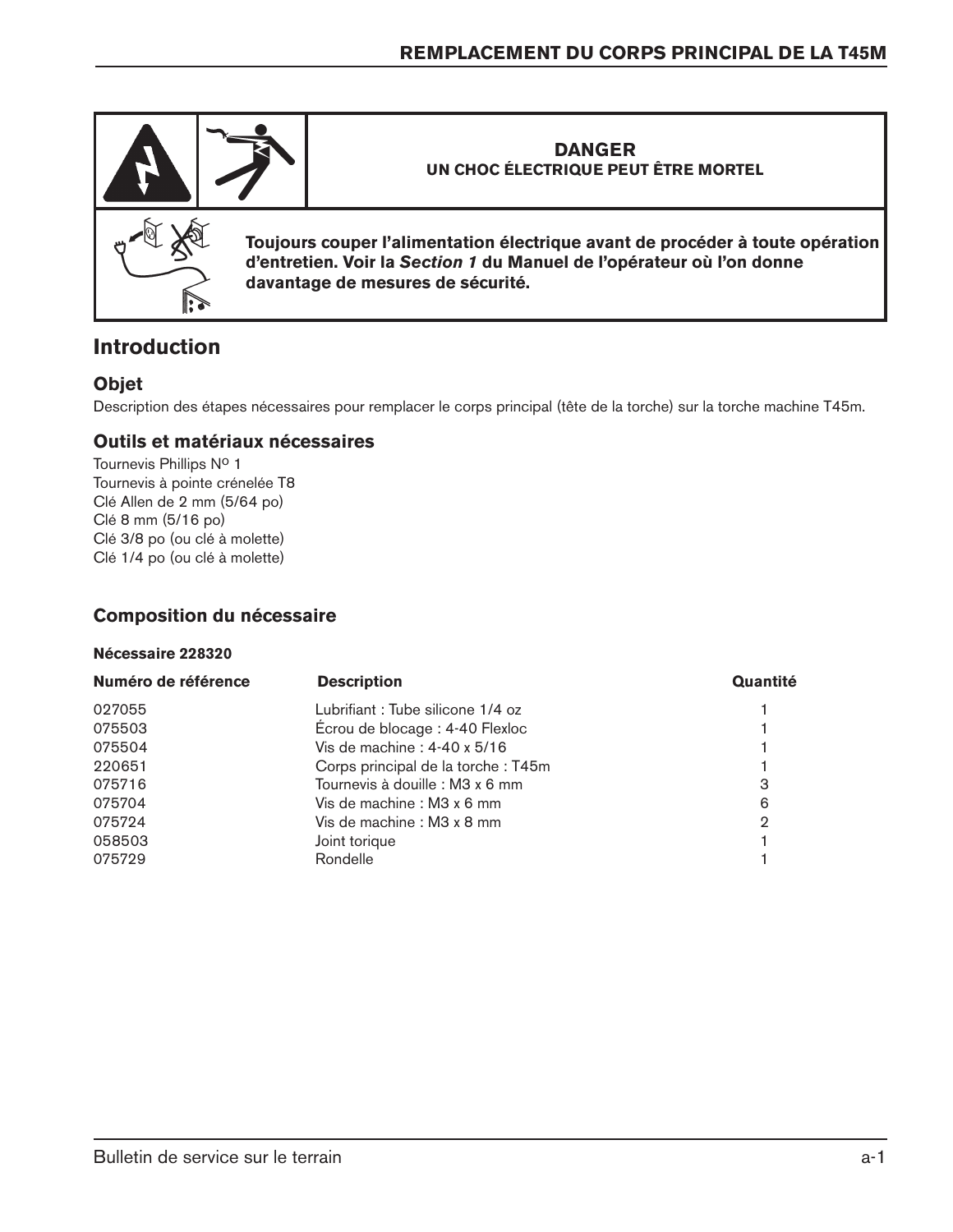

## **Introduction**

#### **Objet**

Description des étapes nécessaires pour remplacer le corps principal (tête de la torche) sur la torche machine T45m.

#### **Outils et matériaux nécessaires**

Tournevis Phillips Nº 1 Tournevis à pointe crénelée T8 Clé Allen de 2 mm (5/64 po) Clé 8 mm (5/16 po) Clé 3/8 po (ou clé à molette) Clé 1/4 po (ou clé à molette)

#### **Composition du nécessaire**

#### **Nécessaire 228320**

| <b>Description</b>                  | Quantité |
|-------------------------------------|----------|
| Lubrifiant: Tube silicone 1/4 oz    |          |
| Écrou de blocage : 4-40 Flexloc     |          |
| Vis de machine : $4-40 \times 5/16$ |          |
| Corps principal de la torche: T45m  |          |
| Tournevis à douille : M3 x 6 mm     | 3        |
| Vis de machine : M3 x 6 mm          | 6        |
| Vis de machine : M3 x 8 mm          | 2        |
| Joint torique                       |          |
| Rondelle                            |          |
|                                     |          |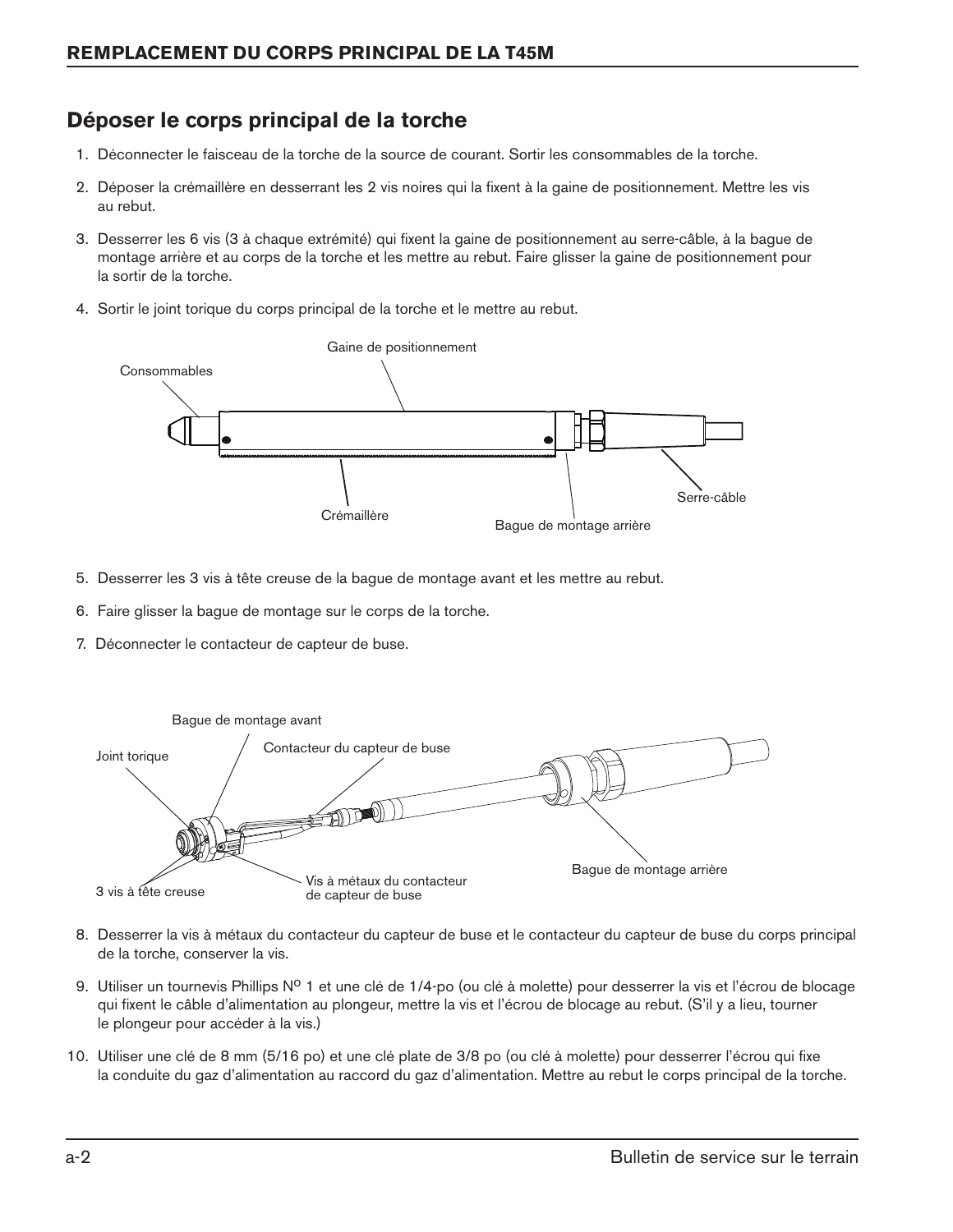## **Déposer le corps principal de la torche**

- 1. Déconnecter le faisceau de la torche de la source de courant. Sortir les consommables de la torche.
- 2. Déposer la crémaillère en desserrant les 2 vis noires qui la fixent à la gaine de positionnement. Mettre les vis au rebut.
- 3. Desserrer les 6 vis (3 à chaque extrémité) qui fixent la gaine de positionnement au serre-câble, à la bague de montage arrière et au corps de la torche et les mettre au rebut. Faire glisser la gaine de positionnement pour la sortir de la torche.
- 4. Sortir le joint torique du corps principal de la torche et le mettre au rebut.



- 5. Desserrer les 3 vis à tête creuse de la bague de montage avant et les mettre au rebut.
- 6. Faire glisser la bague de montage sur le corps de la torche.
- 7. Déconnecter le contacteur de capteur de buse.



- 8. Desserrer la vis à métaux du contacteur du capteur de buse et le contacteur du capteur de buse du corps principal de la torche, conserver la vis.
- 9. Utiliser un tournevis Phillips  $N^{\circ}$  1 et une clé de 1/4-po (ou clé à molette) pour desserrer la vis et l'écrou de blocage qui fixent le câble d'alimentation au plongeur, mettre la vis et l'écrou de blocage au rebut. (S'il y a lieu, tourner le plongeur pour accéder à la vis.)
- 10. Utiliser une clé de 8 mm (5/16 po) et une clé plate de 3/8 po (ou clé à molette) pour desserrer l'écrou qui fixe la conduite du gaz d'alimentation au raccord du gaz d'alimentation. Mettre au rebut le corps principal de la torche.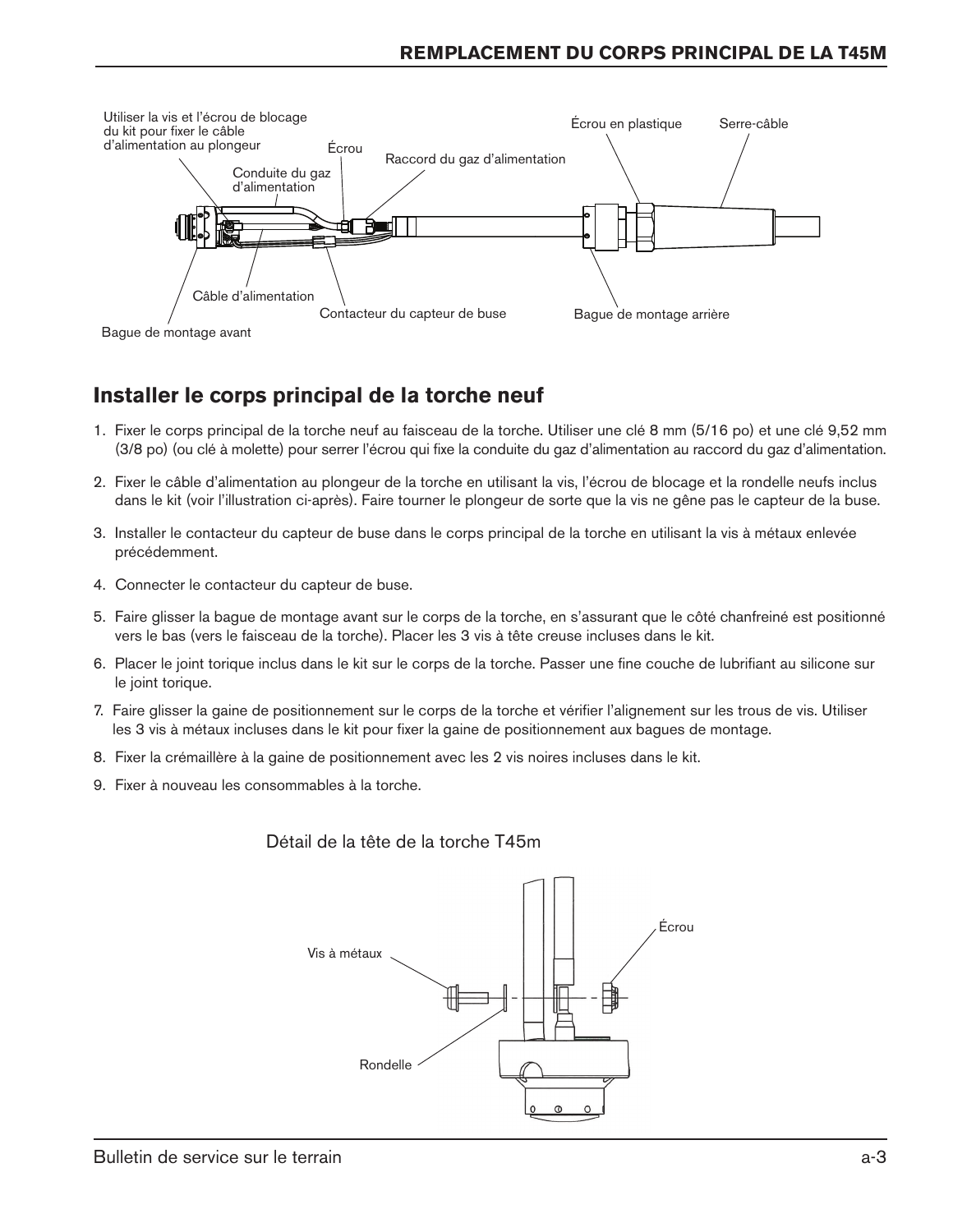

## **Installer le corps principal de la torche neuf**

- 1. Fixer le corps principal de la torche neuf au faisceau de la torche. Utiliser une clé 8 mm (5/16 po) et une clé 9,52 mm (3/8 po) (ou clé à molette) pour serrer l'écrou qui fixe la conduite du gaz d'alimentation au raccord du gaz d'alimentation.
- 2. Fixer le câble d'alimentation au plongeur de la torche en utilisant la vis, l'écrou de blocage et la rondelle neufs inclus dans le kit (voir l'illustration ci-après). Faire tourner le plongeur de sorte que la vis ne gêne pas le capteur de la buse.
- 3. Installer le contacteur du capteur de buse dans le corps principal de la torche en utilisant la vis à métaux enlevée précédemment.
- 4. Connecter le contacteur du capteur de buse.
- 5. Faire glisser la bague de montage avant sur le corps de la torche, en s'assurant que le côté chanfreiné est positionné vers le bas (vers le faisceau de la torche). Placer les 3 vis à tête creuse incluses dans le kit.
- 6. Placer le joint torique inclus dans le kit sur le corps de la torche. Passer une fine couche de lubrifiant au silicone sur le joint torique.
- 7. Faire glisser la gaine de positionnement sur le corps de la torche et vérifier l'alignement sur les trous de vis. Utiliser les 3 vis à métaux incluses dans le kit pour fixer la gaine de positionnement aux bagues de montage.
- 8. Fixer la crémaillère à la gaine de positionnement avec les 2 vis noires incluses dans le kit.
- 9. Fixer à nouveau les consommables à la torche.

#### Détail de la tête de la torche T45m